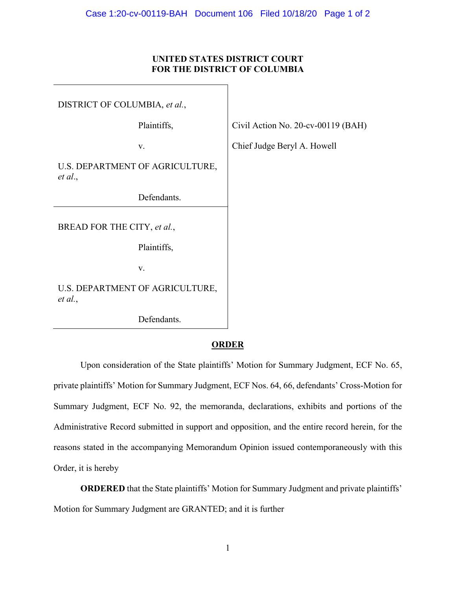## **UNITED STATES DISTRICT COURT FOR THE DISTRICT OF COLUMBIA**

| DISTRICT OF COLUMBIA, et al.,              |                                    |
|--------------------------------------------|------------------------------------|
| Plaintiffs,                                | Civil Action No. 20-cv-00119 (BAH) |
| V.                                         | Chief Judge Beryl A. Howell        |
| U.S. DEPARTMENT OF AGRICULTURE,<br>et al., |                                    |
| Defendants.                                |                                    |
| BREAD FOR THE CITY, et al.,                |                                    |
| Plaintiffs,                                |                                    |
| V.                                         |                                    |
| U.S. DEPARTMENT OF AGRICULTURE,<br>et al., |                                    |
| Defendants.                                |                                    |

## **ORDER**

Upon consideration of the State plaintiffs' Motion for Summary Judgment, ECF No. 65, private plaintiffs' Motion for Summary Judgment, ECF Nos. 64, 66, defendants' Cross-Motion for Summary Judgment, ECF No. 92, the memoranda, declarations, exhibits and portions of the Administrative Record submitted in support and opposition, and the entire record herein, for the reasons stated in the accompanying Memorandum Opinion issued contemporaneously with this Order, it is hereby

**ORDERED** that the State plaintiffs' Motion for Summary Judgment and private plaintiffs' Motion for Summary Judgment are GRANTED; and it is further